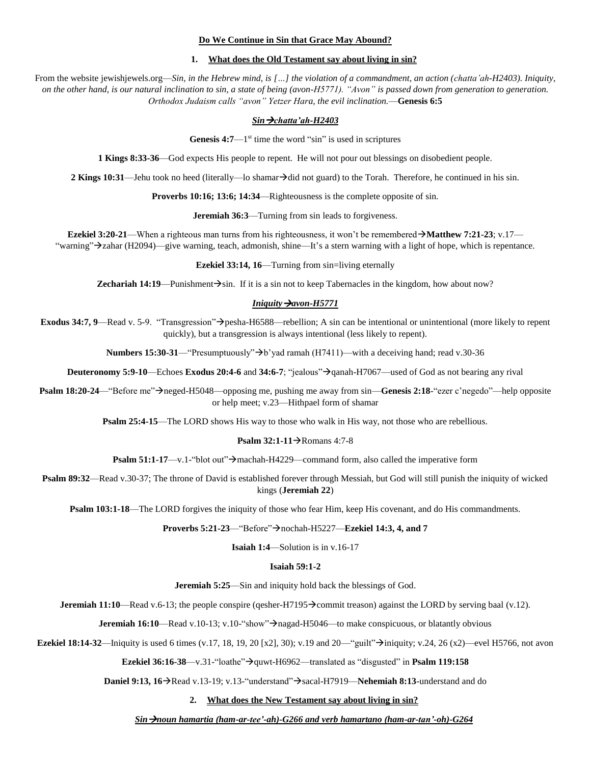# **Do We Continue in Sin that Grace May Abound?**

# **1. What does the Old Testament say about living in sin?**

From the website jewishjewels.org—*Sin, in the Hebrew mind, is* [...] the violation of a commandment, an action (chatta'ah-H2403). Iniquity, *on the other hand, is our natural inclination to sin, a state of being (avon-H5771). "Avon" is passed down from generation to generation. Orthodox Judaism calls "avon" Yetzer Hara, the evil inclination.*—**Genesis 6:5**

# *Sin* → *chatta'ah*-*H2403*

**Genesis 4:7**—1<sup>st</sup> time the word "sin" is used in scriptures

**1 Kings 8:33-36**—God expects His people to repent. He will not pour out blessings on disobedient people.

**2 Kings 10:31—Jehu** took no heed (literally—lo shamar $\rightarrow$ did not guard) to the Torah. Therefore, he continued in his sin.

**Proverbs 10:16; 13:6; 14:34**—Righteousness is the complete opposite of sin.

**Jeremiah 36:3**—Turning from sin leads to forgiveness.

**Ezekiel 3:20-21**—When a righteous man turns from his righteousness, it won't be remembered  $\rightarrow$ **Matthew 7:21-23**; v.17— "warning">zahar (H2094)—give warning, teach, admonish, shine—It's a stern warning with a light of hope, which is repentance.

**Ezekiel 33:14, 16**—Turning from sin=living eternally

**Zechariah 14:19—Punishment** $\rightarrow$ **sin.** If it is a sin not to keep Tabernacles in the kingdom, how about now?

# *Iniquity*  $\rightarrow$ *avon-H5771*

**Exodus 34:7, 9**—Read v. 5-9. "Transgression">pesha-H6588—rebellion; A sin can be intentional or unintentional (more likely to repent quickly), but a transgression is always intentional (less likely to repent).

**Numbers 15:30-31—**"Presumptuously" $\rightarrow$ b'yad ramah (H7411)—with a deceiving hand; read v.30-36

**Deuteronomy 5:9-10—Echoes Exodus 20:4-6** and 34:6-7; "jealous" $\rightarrow$ qanah-H7067—used of God as not bearing any rival

**Psalm 18:20-24—**"Before me"→neged-H5048—opposing me, pushing me away from sin—**Genesis 2:18**-"ezer c'negedo"—help opposite or help meet; v.23—Hithpael form of shamar

**Psalm 25:4-15—The LORD shows His way to those who walk in His way, not those who are rebellious.** 

#### **Psalm 32:1-11→Romans 4:7-8**

**Psalm 51:1-17**—v.1-"blot out" $\rightarrow$  machah-H4229—command form, also called the imperative form

**Psalm 89:32—Read v.30-37; The throne of David is established forever through Messiah, but God will still punish the iniquity of wicked** kings (**Jeremiah 22**)

**Psalm 103:1-18**—The LORD forgives the iniquity of those who fear Him, keep His covenant, and do His commandments.

#### **Proverbs 5:21-23**—"Before">nochah-H5227—**Ezekiel 14:3, 4, and 7**

**Isaiah 1:4**—Solution is in v.16-17

## **Isaiah 59:1-2**

**Jeremiah 5:25**—Sin and iniquity hold back the blessings of God.

**Jeremiah 11:10**—Read v.6-13; the people conspire (qesher-H7195 $\rightarrow$ commit treason) against the LORD by serving baal (v.12).

**Jeremiah 16:10**—Read v.10-13; v.10-"show">nagad-H5046—to make conspicuous, or blatantly obvious

**Ezekiel 18:14-32**—Iniquity is used 6 times (v.17, 18, 19, 20 [x2], 30); v.19 and 20—"guilt" $\rightarrow$ iniquity; v.24, 26 (x2)—evel H5766, not avon

**Ezekiel 36:16-38**—v.31-"loathe" $\rightarrow$ quwt-H6962—translated as "disgusted" in **Psalm 119:158** 

**Daniel 9:13, 16**→Read v.13-19; v.13-"understand"→sacal-H7919—**Nehemiah 8:13**-understand and do

#### **2. What does the New Testament say about living in sin?**

## *Sinnoun hamartia (ham-ar-tee'-ah)-G266 and verb hamartano (ham-ar-tan'-oh)-G264*